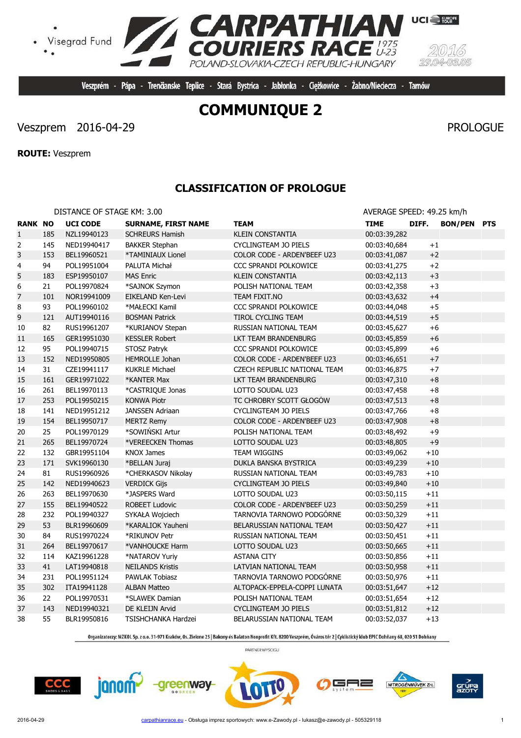**CCC** 

# **COMMUNIQUE 2**

Veszprém - Pápa - Trenčianske Teplice - Stará Bystrica - Jabłonka - Ciężkowice - Żabno/Nieciecza - Tarnów

**RPATHIAN**<br>URIERS RACE

POLAND-SLOVAKIA-CZECH REPUBLIC-HUNGARY

**TA CA** 

# Veszprem 2016-04-29 PROLOGUE

Visegrad Fund

**ROUTE:** Veszprem

 $\bullet$ 

## **CLASSIFICATION OF PROLOGUE**

|                |     | DISTANCE OF STAGE KM: 3.00 |                            |                              | AVERAGE SPEED: 49.25 km/h |         |                |            |
|----------------|-----|----------------------------|----------------------------|------------------------------|---------------------------|---------|----------------|------------|
| <b>RANK NO</b> |     | <b>UCI CODE</b>            | <b>SURNAME, FIRST NAME</b> | <b>TEAM</b>                  | <b>TIME</b>               | DIFF.   | <b>BON/PEN</b> | <b>PTS</b> |
| $\mathbf{1}$   | 185 | NZL19940123                | <b>SCHREURS Hamish</b>     | <b>KLEIN CONSTANTIA</b>      | 00:03:39,282              |         |                |            |
| 2              | 145 | NED19940417                | <b>BAKKER Stephan</b>      | CYCLINGTEAM JO PIELS         | 00:03:40,684              | $+1$    |                |            |
| 3              | 153 | BEL19960521                | *TAMINIAUX Lionel          | COLOR CODE - ARDEN'BEEF U23  | 00:03:41,087              | $+2$    |                |            |
| 4              | 94  | POL19951004                | PALUTA Michał              | CCC SPRANDI POLKOWICE        | 00:03:41,275              | $+2$    |                |            |
| 5              | 183 | ESP19950107                | <b>MAS Enric</b>           | <b>KLEIN CONSTANTIA</b>      | 00:03:42,113              | $+3$    |                |            |
| 6              | 21  | POL19970824                | *SAJNOK Szymon             | POLISH NATIONAL TEAM         | 00:03:42,358              | $+3$    |                |            |
| $\overline{7}$ | 101 | NOR19941009                | EIKELAND Ken-Levi          | TEAM FIXIT.NO                | 00:03:43,632              | $+4$    |                |            |
| 8              | 93  | POL19960102                | *MAŁECKI Kamil             | <b>CCC SPRANDI POLKOWICE</b> | 00:03:44,048              | $+5$    |                |            |
| 9              | 121 | AUT19940116                | <b>BOSMAN Patrick</b>      | TIROL CYCLING TEAM           | 00:03:44,519              | $+5$    |                |            |
| 10             | 82  | RUS19961207                | *KURIANOV Stepan           | RUSSIAN NATIONAL TEAM        | 00:03:45,627              | $+6$    |                |            |
| 11             | 165 | GER19951030                | <b>KESSLER Robert</b>      | LKT TEAM BRANDENBURG         | 00:03:45,859              | $+6$    |                |            |
| 12             | 95  | POL19940715                | STOSZ Patryk               | CCC SPRANDI POLKOWICE        | 00:03:45,899              | $+6$    |                |            |
| 13             | 152 | NED19950805                | <b>HEMROLLE Johan</b>      | COLOR CODE - ARDEN'BEEF U23  | 00:03:46,651              | $+7$    |                |            |
| 14             | 31  | CZE19941117                | <b>KUKRLE Michael</b>      | CZECH REPUBLIC NATIONAL TEAM | 00:03:46,875              | $+7$    |                |            |
| 15             | 161 | GER19971022                | *KANTER Max                | LKT TEAM BRANDENBURG         | 00:03:47,310              | $+8$    |                |            |
| 16             | 261 | BEL19970113                | *CASTRIQUE Jonas           | LOTTO SOUDAL U23             | 00:03:47,458              | $+8$    |                |            |
| 17             | 253 | POL19950215                | <b>KONWA Piotr</b>         | TC CHROBRY SCOTT GŁOGÓW      | 00:03:47,513              | $+8$    |                |            |
| 18             | 141 | NED19951212                | <b>JANSSEN Adriaan</b>     | <b>CYCLINGTEAM JO PIELS</b>  | 00:03:47,766              | $+8$    |                |            |
| 19             | 154 | BEL19950717                | <b>MERTZ Remy</b>          | COLOR CODE - ARDEN'BEEF U23  | 00:03:47,908              | $+8$    |                |            |
| 20             | 25  | POL19970129                | *SOWIŃSKI Artur            | POLISH NATIONAL TEAM         | 00:03:48,492              | $+9$    |                |            |
| 21             | 265 | BEL19970724                | *VEREECKEN Thomas          | LOTTO SOUDAL U23             | 00:03:48,805              | $+9$    |                |            |
| 22             | 132 | GBR19951104                | <b>KNOX James</b>          | <b>TEAM WIGGINS</b>          | 00:03:49,062              | $+10$   |                |            |
| 23             | 171 | SVK19960130                | *BELLAN Juraj              | DUKLA BANSKA BYSTRICA        | 00:03:49,239              | $+10$   |                |            |
| 24             | 81  | RUS19960926                | *CHERKASOV Nikolay         | RUSSIAN NATIONAL TEAM        | 00:03:49,783              | $+10$   |                |            |
| 25             | 142 | NED19940623                | <b>VERDICK Gijs</b>        | <b>CYCLINGTEAM JO PIELS</b>  | 00:03:49,840              | $+10$   |                |            |
| 26             | 263 | BEL19970630                | *JASPERS Ward              | LOTTO SOUDAL U23             | 00:03:50,115              | $+11$   |                |            |
| 27             | 155 | BEL19940522                | <b>ROBEET Ludovic</b>      | COLOR CODE - ARDEN'BEEF U23  | 00:03:50,259              | $+11$   |                |            |
| 28             | 232 | POL19940327                | SYKAŁA Wojciech            | TARNOVIA TARNOWO PODGÓRNE    | 00:03:50,329              | $+11$   |                |            |
| 29             | 53  | BLR19960609                | *KARALIOK Yauheni          | BELARUSSIAN NATIONAL TEAM    | 00:03:50,427              | $+11\,$ |                |            |
| 30             | 84  | RUS19970224                | *RIKUNOV Petr              | RUSSIAN NATIONAL TEAM        | 00:03:50,451              | $+11$   |                |            |
| 31             | 264 | BEL19970617                | *VANHOUCKE Harm            | LOTTO SOUDAL U23             | 00:03:50,665              | $+11$   |                |            |
| 32             | 114 | KAZ19961228                | *NATAROV Yuriy             | <b>ASTANA CITY</b>           | 00:03:50,856              | $+11$   |                |            |
| 33             | 41  | LAT19940818                | <b>NEILANDS Kristis</b>    | LATVIAN NATIONAL TEAM        | 00:03:50,958              | $+11$   |                |            |
| 34             | 231 | POL19951124                | <b>PAWLAK Tobiasz</b>      | TARNOVIA TARNOWO PODGÓRNE    | 00:03:50,976              | $+11$   |                |            |
| 35             | 302 | ITA19941128                | <b>ALBAN Matteo</b>        | ALTOPACK-EPPELA-COPPI LUNATA | 00:03:51,647              | $+12$   |                |            |
| 36             | 22  | POL19970531                | *SLAWEK Damian             | POLISH NATIONAL TEAM         | 00:03:51,654              | $+12$   |                |            |
| 37             | 143 | NED19940321                | DE KLEIJN Arvid            | <b>CYCLINGTEAM JO PIELS</b>  | 00:03:51,812              | $+12$   |                |            |
| 38             | 55  | BLR19950816                | TSISHCHANKA Hardzei        | BELARUSSIAN NATIONAL TEAM    | 00:03:52,037              | $+13$   |                |            |

Organizatorzy: MZKOL Sp. z o.o. 31-971 Kraków, Os. Zielone 25 | Bakony és Balaton Nonprofit Kft. 8200 Veszprém, Óváros tér 2 | Cyklistický klub EPIC Dohňany 68, 020 51 Dohňany

PARTNER WYŚCIGU

ΞF ╕═





NITROGÉNMŰVEK Zrt.



**UCI** EUROPE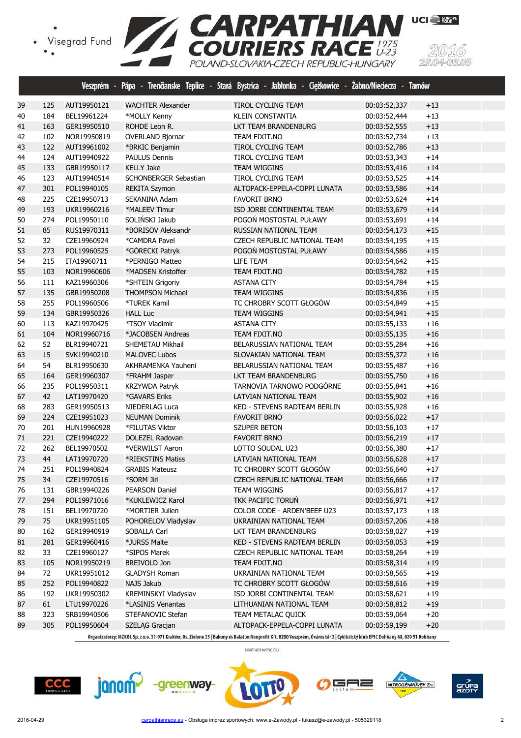



|    |     |             |                          | Veszprém - Pápa - Trenčianske Teplice - Stará Bystrica - Jabłonka - Ciężkowice - Żabno/Nieciecza - Tarnów |              |       |  |
|----|-----|-------------|--------------------------|-----------------------------------------------------------------------------------------------------------|--------------|-------|--|
| 39 | 125 | AUT19950121 | <b>WACHTER Alexander</b> | TIROL CYCLING TEAM                                                                                        | 00:03:52,337 | $+13$ |  |
| 40 | 184 | BEL19961224 | *MOLLY Kenny             | <b>KLEIN CONSTANTIA</b>                                                                                   | 00:03:52,444 | $+13$ |  |
| 41 | 163 | GER19950510 | ROHDE Leon R.            | LKT TEAM BRANDENBURG                                                                                      | 00:03:52,555 | $+13$ |  |
| 42 | 102 | NOR19950819 | <b>OVERLAND Bjornar</b>  | TEAM FIXIT.NO                                                                                             | 00:03:52,734 | $+13$ |  |
| 43 | 122 | AUT19961002 | *BRKIC Benjamin          | TIROL CYCLING TEAM                                                                                        | 00:03:52,786 | $+13$ |  |
| 44 | 124 | AUT19940922 | <b>PAULUS Dennis</b>     | TIROL CYCLING TEAM                                                                                        | 00:03:53,343 | $+14$ |  |
| 45 | 133 | GBR19950117 | <b>KELLY Jake</b>        | <b>TEAM WIGGINS</b>                                                                                       | 00:03:53,416 | $+14$ |  |
| 46 | 123 | AUT19940514 | SCHONBERGER Sebastian    | TIROL CYCLING TEAM                                                                                        | 00:03:53,525 | $+14$ |  |
| 47 | 301 | POL19940105 | <b>REKITA Szymon</b>     | ALTOPACK-EPPELA-COPPI LUNATA                                                                              | 00:03:53,586 | $+14$ |  |
| 48 | 225 | CZE19950713 | SEKANINA Adam            | <b>FAVORIT BRNO</b>                                                                                       | 00:03:53,624 | $+14$ |  |
| 49 | 193 | UKR19960216 | *MALEEV Timur            | ISD JORBI CONTINENTAL TEAM                                                                                | 00:03:53,679 | $+14$ |  |
| 50 | 274 | POL19950110 | SOLIŃSKI Jakub           | POGOŃ MOSTOSTAL PUŁAWY                                                                                    | 00:03:53,691 | $+14$ |  |
| 51 | 85  | RUS19970311 | *BORISOV Aleksandr       | RUSSIAN NATIONAL TEAM                                                                                     | 00:03:54,173 | $+15$ |  |
| 52 | 32  | CZE19960924 | *CAMDRA Pavel            | CZECH REPUBLIC NATIONAL TEAM                                                                              | 00:03:54,195 | $+15$ |  |
| 53 | 273 | POL19960525 | *GÓRECKI Patryk          | POGOŃ MOSTOSTAL PUŁAWY                                                                                    | 00:03:54,586 | $+15$ |  |
| 54 | 215 | ITA19960711 | *PERNIGO Matteo          | LIFE TEAM                                                                                                 | 00:03:54,642 | $+15$ |  |
| 55 | 103 | NOR19960606 | *MADSEN Kristoffer       | TEAM FIXIT.NO                                                                                             | 00:03:54,782 | $+15$ |  |
| 56 | 111 | KAZ19960306 | *SHTEIN Grigoriy         | <b>ASTANA CITY</b>                                                                                        | 00:03:54,784 | $+15$ |  |
| 57 | 135 | GBR19950208 | <b>THOMPSON Michael</b>  | <b>TEAM WIGGINS</b>                                                                                       | 00:03:54,836 | $+15$ |  |
| 58 | 255 | POL19960506 | *TUREK Kamil             | TC CHROBRY SCOTT GŁOGÓW                                                                                   | 00:03:54,849 | $+15$ |  |
| 59 | 134 | GBR19950326 | <b>HALL Luc</b>          | <b>TEAM WIGGINS</b>                                                                                       | 00:03:54,941 | $+15$ |  |
| 60 | 113 | KAZ19970425 | *TSOY Vladimir           | <b>ASTANA CITY</b>                                                                                        | 00:03:55,133 | $+16$ |  |
| 61 | 104 | NOR19960716 | *JACOBSEN Andreas        | TEAM FIXIT.NO                                                                                             | 00:03:55,135 | $+16$ |  |
| 62 | 52  | BLR19940721 | SHEMETAU Mikhail         | BELARUSSIAN NATIONAL TEAM                                                                                 | 00:03:55,284 | $+16$ |  |
| 63 | 15  | SVK19940210 | <b>MALOVEC Lubos</b>     | SLOVAKIAN NATIONAL TEAM                                                                                   | 00:03:55,372 | $+16$ |  |
| 64 | 54  | BLR19950630 | AKHRAMENKA Yauheni       | BELARUSSIAN NATIONAL TEAM                                                                                 | 00:03:55,487 | $+16$ |  |
| 65 | 164 | GER19960307 | *FRAHM Jasper            | LKT TEAM BRANDENBURG                                                                                      | 00:03:55,750 | $+16$ |  |
| 66 | 235 | POL19950311 | KRZYWDA Patryk           | TARNOVIA TARNOWO PODGÓRNE                                                                                 | 00:03:55,841 | $+16$ |  |
| 67 | 42  | LAT19970420 | *GAVARS Eriks            | LATVIAN NATIONAL TEAM                                                                                     | 00:03:55,902 | $+16$ |  |
| 68 | 283 | GER19950513 | NIEDERLAG Luca           | KED - STEVENS RADTEAM BERLIN                                                                              | 00:03:55,928 | $+16$ |  |
| 69 | 224 | CZE19951023 | <b>NEUMAN Dominik</b>    | <b>FAVORIT BRNO</b>                                                                                       | 00:03:56,022 | $+17$ |  |
| 70 | 201 | HUN19960928 | *FILUTAS Viktor          | <b>SZUPER BETON</b>                                                                                       | 00:03:56,103 | $+17$ |  |
| 71 | 221 | CZE19940222 | <b>DOLEZEL Radovan</b>   | <b>FAVORIT BRNO</b>                                                                                       | 00:03:56,219 | $+17$ |  |
| 72 | 262 | BEL19970502 | *VERWILST Aaron          | LOTTO SOUDAL U23                                                                                          | 00:03:56,380 | $+17$ |  |
| 73 | 44  | LAT19970720 | *RIEKSTINS Matiss        | LATVIAN NATIONAL TEAM                                                                                     | 00:03:56,628 | $+17$ |  |
| 74 | 251 | POL19940824 | <b>GRABIS Mateusz</b>    | TC CHROBRY SCOTT GŁOGÓW                                                                                   | 00:03:56,640 | $+17$ |  |
| 75 | 34  | CZE19970516 | *SORM Jiri               | CZECH REPUBLIC NATIONAL TEAM                                                                              | 00:03:56,666 | $+17$ |  |
| 76 | 131 | GBR19940226 | PEARSON Daniel           | TEAM WIGGINS                                                                                              | 00:03:56,817 | $+17$ |  |
| 77 | 294 | POL19971016 | *KUKLEWICZ Karol         | TKK PACIFIC TORUN                                                                                         | 00:03:56,971 | $+17$ |  |
| 78 | 151 | BEL19970720 | *MORTIER Julien          | COLOR CODE - ARDEN'BEEF U23                                                                               | 00:03:57,173 | $+18$ |  |
| 79 | 75  | UKR19951105 | POHORELOV Vladyslav      | UKRAINIAN NATIONAL TEAM                                                                                   | 00:03:57,206 | $+18$ |  |
| 80 | 162 | GER19940919 | SOBALLA Carl             | LKT TEAM BRANDENBURG                                                                                      | 00:03:58,027 | $+19$ |  |
| 81 | 281 | GER19960416 | *JURSS Malte             | KED - STEVENS RADTEAM BERLIN                                                                              | 00:03:58,053 | $+19$ |  |
| 82 | 33  | CZE19960127 | *SIPOS Marek             | CZECH REPUBLIC NATIONAL TEAM                                                                              | 00:03:58,264 | $+19$ |  |
| 83 | 105 | NOR19950219 | <b>BREIVOLD Jon</b>      | TEAM FIXIT.NO                                                                                             | 00:03:58,314 | $+19$ |  |
| 84 | 72  | UKR19951012 | <b>GLADYSH Roman</b>     | UKRAINIAN NATIONAL TEAM                                                                                   | 00:03:58,565 | $+19$ |  |
| 85 | 252 | POL19940822 | NAJS Jakub               | TC CHROBRY SCOTT GŁOGÓW                                                                                   | 00:03:58,616 | $+19$ |  |
| 86 | 192 | UKR19950302 | KREMINSKYI Vladyslav     | ISD JORBI CONTINENTAL TEAM                                                                                | 00:03:58,621 | $+19$ |  |
| 87 | 61  | LTU19970226 | *LASINIS Venantas        | LITHUANIAN NATIONAL TEAM                                                                                  | 00:03:58,812 | $+19$ |  |
| 88 | 323 | SRB19940506 | STEFANOVIC Stefan        | TEAM METALAC QUICK                                                                                        | 00:03:59,064 | $+20$ |  |
| 89 | 305 | POL19950604 | SZELĄG Gracjan           | ALTOPACK-EPPELA-COPPI LUNATA                                                                              | 00:03:59,199 | $+20$ |  |
|    |     |             |                          |                                                                                                           |              |       |  |









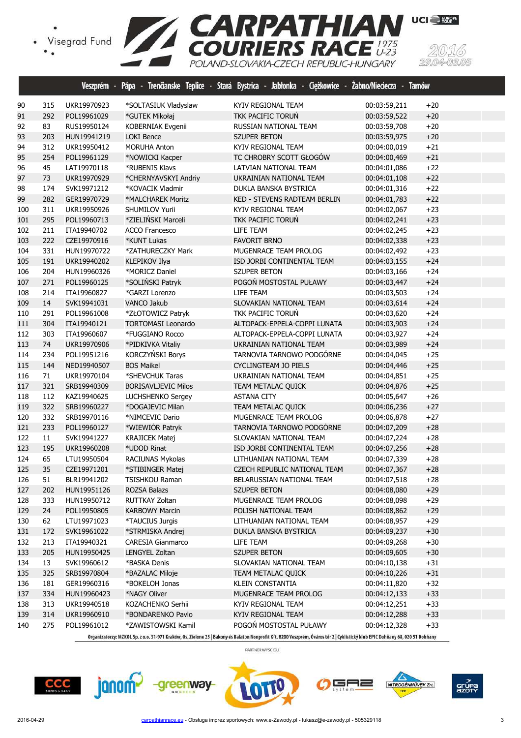



|     |        | Veszprém -  | Pápa -<br>Trenäanske Teplice<br>- | Stará Bystrica - Jabłonka - Ciężkowice - | Zabno/Nieciecza - Tarnów |       |  |
|-----|--------|-------------|-----------------------------------|------------------------------------------|--------------------------|-------|--|
| 90  | 315    | UKR19970923 | *SOLTASIUK Vladyslaw              | KYIV REGIONAL TEAM                       | 00:03:59,211             | $+20$ |  |
| 91  | 292    | POL19961029 | *GUTEK Mikołaj                    | TKK PACIFIC TORUN                        | 00:03:59,522             | $+20$ |  |
| 92  | 83     | RUS19950124 | KOBERNIAK Evgenii                 | RUSSIAN NATIONAL TEAM                    | 00:03:59,708             | $+20$ |  |
| 93  | 203    | HUN19941219 | <b>LOKI Bence</b>                 | <b>SZUPER BETON</b>                      | 00:03:59,975             | $+20$ |  |
| 94  | 312    | UKR19950412 | <b>MORUHA Anton</b>               | KYIV REGIONAL TEAM                       | 00:04:00,019             | $+21$ |  |
| 95  | 254    | POL19961129 | *NOWICKI Kacper                   | TC CHROBRY SCOTT GŁOGÓW                  | 00:04:00,469             | $+21$ |  |
| 96  | 45     | LAT19970118 | *RUBENIS Klavs                    | LATVIAN NATIONAL TEAM                    | 00:04:01,086             | $+22$ |  |
| 97  | 73     | UKR19970929 | *CHERNYAVSKYI Andriy              | UKRAINIAN NATIONAL TEAM                  | 00:04:01,108             | $+22$ |  |
| 98  | 174    | SVK19971212 | *KOVACIK Vladmir                  | DUKLA BANSKA BYSTRICA                    | 00:04:01,316             | $+22$ |  |
| 99  | 282    | GER19970729 | *MALCHAREK Moritz                 | KED - STEVENS RADTEAM BERLIN             | 00:04:01,783             | $+22$ |  |
| 100 | 311    | UKR19950926 | SHUMILOV Yurii                    | KYIV REGIONAL TEAM                       | 00:04:02,067             | $+23$ |  |
| 101 | 295    | POL19960713 | *ZIELIŃSKI Marceli                | TKK PACIFIC TORUN                        | 00:04:02,241             | $+23$ |  |
| 102 | 211    | ITA19940702 | <b>ACCO Francesco</b>             | LIFE TEAM                                | 00:04:02,245             | $+23$ |  |
| 103 | 222    | CZE19970916 | *KUNT Lukas                       | <b>FAVORIT BRNO</b>                      | 00:04:02,338             | $+23$ |  |
| 104 | 331    | HUN19970722 | *ZATHURECZKY Mark                 | MUGENRACE TEAM PROLOG                    | 00:04:02,492             | $+23$ |  |
| 105 | 191    | UKR19940202 | <b>KLEPIKOV Ilya</b>              | ISD JORBI CONTINENTAL TEAM               | 00:04:03,155             | $+24$ |  |
| 106 | 204    | HUN19960326 | *MORICZ Daniel                    | <b>SZUPER BETON</b>                      | 00:04:03,166             | $+24$ |  |
| 107 | 271    | POL19960125 | *SOLIŃSKI Patryk                  | POGOŃ MOSTOSTAL PUŁAWY                   | 00:04:03,447             | $+24$ |  |
| 108 | 214    | ITA19960827 | *GARZI Lorenzo                    | LIFE TEAM                                | 00:04:03,503             | $+24$ |  |
| 109 | 14     | SVK19941031 | <b>VANCO Jakub</b>                | SLOVAKIAN NATIONAL TEAM                  | 00:04:03,614             | $+24$ |  |
| 110 | 291    | POL19961008 | *ZŁOTOWICZ Patryk                 | TKK PACIFIC TORUŃ                        | 00:04:03,620             | $+24$ |  |
| 111 | 304    | ITA19940121 | <b>TORTOMASI Leonardo</b>         | ALTOPACK-EPPELA-COPPI LUNATA             | 00:04:03,903             | $+24$ |  |
| 112 | 303    | ITA19960607 | *FUGGIANO Rocco                   | ALTOPACK-EPPELA-COPPI LUNATA             | 00:04:03,927             | $+24$ |  |
| 113 | 74     | UKR19970906 | *PIDKIVKA Vitaliy                 | UKRAINIAN NATIONAL TEAM                  | 00:04:03,989             | $+24$ |  |
| 114 | 234    | POL19951216 | KORCZYŃSKI Borys                  | TARNOVIA TARNOWO PODGÓRNE                | 00:04:04,045             | $+25$ |  |
| 115 | 144    | NED19940507 | <b>BOS Maikel</b>                 | <b>CYCLINGTEAM JO PIELS</b>              | 00:04:04,446             | $+25$ |  |
| 116 | $71\,$ | UKR19970104 | *SHEVCHUK Taras                   | UKRAINIAN NATIONAL TEAM                  | 00:04:04,851             | $+25$ |  |
| 117 | 321    | SRB19940309 | <b>BORISAVLJEVIC Milos</b>        | TEAM METALAC QUICK                       | 00:04:04,876             | $+25$ |  |
| 118 | 112    | KAZ19940625 | LUCHSHENKO Sergey                 | <b>ASTANA CITY</b>                       | 00:04:05,647             | $+26$ |  |
| 119 | 322    | SRB19960227 | *DOGAJEVIC Milan                  | <b>TEAM METALAC QUICK</b>                | 00:04:06,236             | $+27$ |  |
| 120 | 332    | SRB19970116 | *NIMCEVIC Dario                   | MUGENRACE TEAM PROLOG                    | 00:04:06,878             | $+27$ |  |
| 121 | 233    | POL19960127 | *WIEWIÓR Patryk                   | TARNOVIA TARNOWO PODGÓRNE                | 00:04:07,209             | $+28$ |  |
| 122 | 11     | SVK19941227 | <b>KRAJICEK Matej</b>             | SLOVAKIAN NATIONAL TEAM                  | 00:04:07,224             | $+28$ |  |
| 123 | 195    | UKR19960208 | *UDOD Rinat                       | ISD JORBI CONTINENTAL TEAM               | 00:04:07,256             | $+28$ |  |
| 124 | 65     | LTU19950504 | RACIUNAS Mykolas                  | LITHUANIAN NATIONAL TEAM                 | 00:04:07,339             | $+28$ |  |
| 125 | 35     | CZE19971201 | *STIBINGER Matej                  | <b>CZECH REPUBLIC NATIONAL TEAM</b>      | 00:04:07,367             | $+28$ |  |
| 126 | 51     | BLR19941202 | TSISHKOU Raman                    | BELARUSSIAN NATIONAL TEAM                | 00:04:07,518             | $+28$ |  |
| 127 | 202    | HUN19951126 | ROZSA Balazs                      | SZUPER BETON                             | 00:04:08,080             | $+29$ |  |
| 128 | 333    | HUN19950712 | RUTTKAY Zoltan                    | MUGENRACE TEAM PROLOG                    | 00:04:08,098             | $+29$ |  |
| 129 | 24     | POL19950805 | <b>KARBOWY Marcin</b>             | POLISH NATIONAL TEAM                     | 00:04:08,862             | $+29$ |  |
| 130 | 62     | LTU19971023 | *TAUCIUS Jurgis                   | LITHUANIAN NATIONAL TEAM                 | 00:04:08,957             | $+29$ |  |
| 131 | 172    | SVK19961022 | *STRMISKA Andrej                  | DUKLA BANSKA BYSTRICA                    | 00:04:09,237             | $+30$ |  |
| 132 | 213    | ITA19940321 | CARESIA Gianmarco                 | LIFE TEAM                                | 00:04:09,268             | $+30$ |  |
| 133 | 205    | HUN19950425 | LENGYEL Zoltan                    | <b>SZUPER BETON</b>                      | 00:04:09,605             | $+30$ |  |
| 134 | 13     | SVK19960612 | *BASKA Denis                      | SLOVAKIAN NATIONAL TEAM                  | 00:04:10,138             | $+31$ |  |
| 135 | 325    | SRB19970804 | *BAZALAC Miloje                   | TEAM METALAC QUICK                       | 00:04:10,226             | $+31$ |  |
| 136 | 181    | GER19960316 | *BOKELOH Jonas                    | KLEIN CONSTANTIA                         | 00:04:11,820             | $+32$ |  |
| 137 | 334    | HUN19960423 | *NAGY Oliver                      | MUGENRACE TEAM PROLOG                    | 00:04:12,133             | $+33$ |  |
| 138 | 313    | UKR19940518 | KOZACHENKO Serhii                 | KYIV REGIONAL TEAM                       | 00:04:12,251             | $+33$ |  |
| 139 | 314    | UKR19960910 | *BONDARENKO Pavlo                 | KYIV REGIONAL TEAM                       | 00:04:12,288             | $+33$ |  |
| 140 | 275    | POL19961012 | *ZAWISTOWSKI Kamil                | POGOŃ MOSTOSTAL PUŁAWY                   | 00:04:12,328             | $+33$ |  |
|     |        |             |                                   |                                          |                          |       |  |







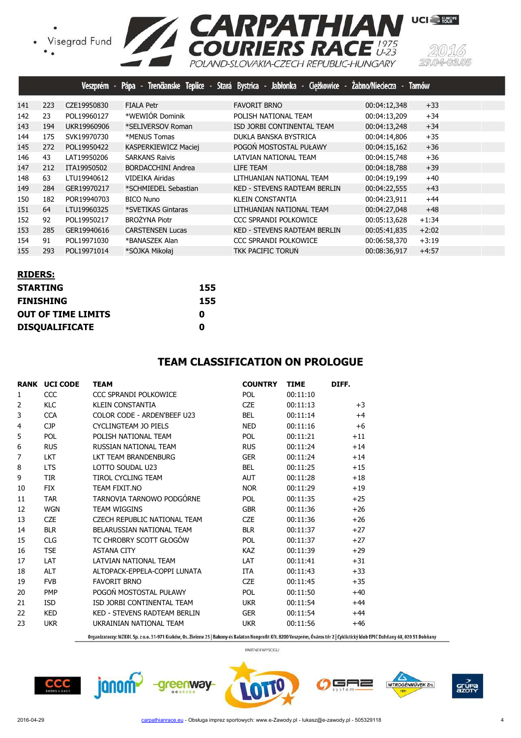

|     |     | <b>Veszprém</b> |                           | Pápa - Trenčianske Teplice - Stará Bystrica - Jabłonka - Ciężkowice - Żabno/Nieciecza - |              | <b>Tamów</b> |  |
|-----|-----|-----------------|---------------------------|-----------------------------------------------------------------------------------------|--------------|--------------|--|
| 141 | 223 | CZE19950830     | <b>FIALA Petr</b>         | <b>FAVORIT BRNO</b>                                                                     | 00:04:12,348 | $+33$        |  |
| 142 | 23  | POL19960127     | *WEWIÓR Dominik           | POLISH NATIONAL TEAM                                                                    | 00:04:13,209 | $+34$        |  |
| 143 | 194 | UKR19960906     | *SELIVERSOV Roman         | ISD JORBI CONTINENTAL TEAM                                                              | 00:04:13,248 | $+34$        |  |
| 144 | 175 | SVK19970730     | *MENUS Tomas              | DUKLA BANSKA BYSTRICA                                                                   | 00:04:14,806 | $+35$        |  |
| 145 | 272 | POL19950422     | KASPERKIEWICZ Maciej      | POGOŃ MOSTOSTAL PUŁAWY                                                                  | 00:04:15,162 | $+36$        |  |
| 146 | 43  | LAT19950206     | <b>SARKANS Raivis</b>     | LATVIAN NATIONAL TEAM                                                                   | 00:04:15,748 | $+36$        |  |
| 147 | 212 | ITA19950502     | <b>BORDACCHINI Andrea</b> | LIFE TEAM                                                                               | 00:04:18,788 | $+39$        |  |
| 148 | 63  | LTU19940612     | VIDEIKA Airidas           | LITHUANIAN NATIONAL TEAM                                                                | 00:04:19,199 | $+40$        |  |
| 149 | 284 | GER19970217     | *SCHMIEDEL Sebastian      | <b>KED - STEVENS RADTEAM BERLIN</b>                                                     | 00:04:22,555 | $+43$        |  |
| 150 | 182 | POR19940703     | <b>BICO Nuno</b>          | <b>KLEIN CONSTANTIA</b>                                                                 | 00:04:23,911 | $+44$        |  |
| 151 | 64  | LTU19960325     | *SVETIKAS Gintaras        | LITHUANIAN NATIONAL TEAM                                                                | 00:04:27,048 | $+48$        |  |
| 152 | 92  | POL19950217     | <b>BROŻYNA Piotr</b>      | CCC SPRANDI POLKOWICE                                                                   | 00:05:13,628 | $+1:34$      |  |
| 153 | 285 | GER19940616     | <b>CARSTENSEN Lucas</b>   | <b>KED - STEVENS RADTEAM BERLIN</b>                                                     | 00:05:41,835 | $+2:02$      |  |
| 154 | 91  | POL19971030     | *BANASZEK Alan            | CCC SPRANDI POLKOWICE                                                                   | 00:06:58,370 | $+3:19$      |  |
| 155 | 293 | POL19971014     | *SÓJKA Mikołai            | <b>TKK PACIFIC TORUN</b>                                                                | 00:08:36,917 | $+4:57$      |  |

| <b>RIDERS:</b>            |     |
|---------------------------|-----|
| <b>STARTING</b>           | 155 |
| <b>FINISHING</b>          | 155 |
| <b>OUT OF TIME LIMITS</b> | O   |
| <b>DISQUALIFICATE</b>     | Ω   |

#### **TEAM CLASSIFICATION ON PROLOGUE**

|                | <b>RANK UCI CODE</b> | <b>TEAM</b>                  | <b>COUNTRY</b> | <b>TIME</b> | DIFF. |
|----------------|----------------------|------------------------------|----------------|-------------|-------|
| 1              | CCC                  | CCC SPRANDI POLKOWICE        | <b>POL</b>     | 00:11:10    |       |
| 2              | <b>KLC</b>           | <b>KLEIN CONSTANTIA</b>      | <b>CZE</b>     | 00:11:13    | $+3$  |
| 3              | <b>CCA</b>           | COLOR CODE - ARDEN'BEEE U23  | <b>BEL</b>     | 00:11:14    | $+4$  |
| $\overline{4}$ | <b>CJP</b>           | CYCLINGTEAM JO PIELS         | <b>NED</b>     | 00:11:16    | $+6$  |
| 5              | <b>POL</b>           | POLISH NATIONAL TEAM         | <b>POL</b>     | 00:11:21    | $+11$ |
| 6              | <b>RUS</b>           | RUSSIAN NATIONAL TEAM        | <b>RUS</b>     | 00:11:24    | $+14$ |
| 7              | <b>LKT</b>           | LKT TEAM BRANDENBURG         | <b>GER</b>     | 00:11:24    | $+14$ |
| 8              | <b>LTS</b>           | LOTTO SOUDAL U23             | <b>BEL</b>     | 00:11:25    | $+15$ |
| 9              | <b>TIR</b>           | TIROL CYCLING TEAM           | <b>AUT</b>     | 00:11:28    | $+18$ |
| 10             | <b>FIX</b>           | TEAM FIXIT.NO                | <b>NOR</b>     | 00:11:29    | $+19$ |
| 11             | <b>TAR</b>           | TARNOVIA TARNOWO PODGÓRNE    | <b>POL</b>     | 00:11:35    | $+25$ |
| 12             | <b>WGN</b>           | <b>TEAM WIGGINS</b>          | <b>GBR</b>     | 00:11:36    | $+26$ |
| 13             | <b>CZE</b>           | CZECH REPUBLIC NATIONAL TEAM | <b>CZE</b>     | 00:11:36    | $+26$ |
| 14             | <b>BLR</b>           | BELARUSSIAN NATIONAL TEAM    | <b>BLR</b>     | 00:11:37    | $+27$ |
| 15             | <b>CLG</b>           | TC CHROBRY SCOTT GŁOGÓW      | <b>POL</b>     | 00:11:37    | $+27$ |
| 16             | <b>TSE</b>           | <b>ASTANA CITY</b>           | <b>KAZ</b>     | 00:11:39    | $+29$ |
| 17             | <b>LAT</b>           | <b>LATVIAN NATIONAL TFAM</b> | LAT            | 00:11:41    | $+31$ |
| 18             | <b>ALT</b>           | ALTOPACK-EPPELA-COPPI LUNATA | <b>ITA</b>     | 00:11:43    | $+33$ |
| 19             | <b>FVB</b>           | <b>FAVORIT BRNO</b>          | <b>CZE</b>     | 00:11:45    | $+35$ |
| 20             | <b>PMP</b>           | POGOŃ MOSTOSTAL PUŁAWY       | <b>POL</b>     | 00:11:50    | $+40$ |
| 21             | <b>ISD</b>           | ISD JORBI CONTINENTAL TEAM   | <b>UKR</b>     | 00:11:54    | $+44$ |
| 22             | <b>KED</b>           | KED - STEVENS RADTEAM BERLIN | <b>GER</b>     | 00:11:54    | $+44$ |
| 23             | <b>UKR</b>           | UKRAINIAN NATIONAL TEAM      | <b>UKR</b>     | 00:11:56    | $+46$ |

Organizatorzy: MZKOL Sp. z o.o. 31-971 Kraków, Os. Zielone 25 | Bakony és Balaton Nonprofit Kft. 8200 Veszprém, Óváros tér 2 | Cyklistický klub EPIC Dohňany 68, 020 51 Dohňany

PARTNER WYŚCIGU

 $CCC$ 





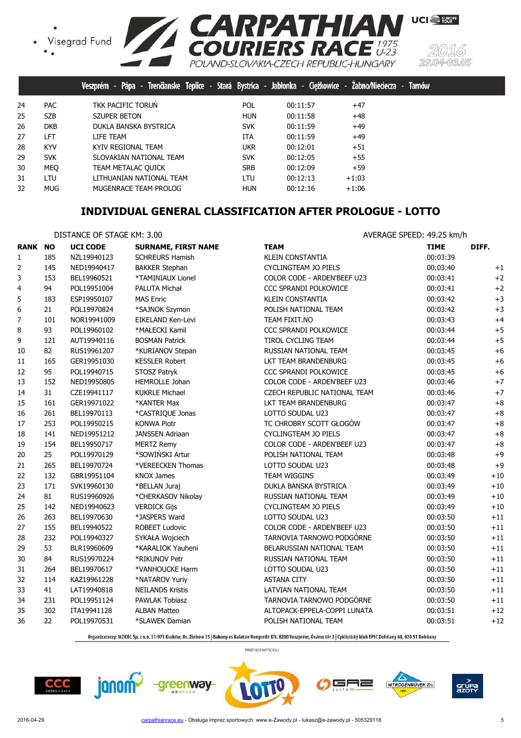



|    |            | Pápa - Trenčianske Teplice - Stará Bystrica - Jabłonka - Ciężkowice -<br>Veszprém - |            |          | Zabno/Nieciecza - | <b>Tarnow</b> |
|----|------------|-------------------------------------------------------------------------------------|------------|----------|-------------------|---------------|
| 24 | <b>PAC</b> | TKK PACIFIC TORUN                                                                   | <b>POL</b> | 00:11:57 | $+47$             |               |
| 25 | <b>SZB</b> | <b>SZUPER BETON</b>                                                                 | <b>HUN</b> | 00:11:58 | $+48$             |               |
| 26 | <b>DKB</b> | DUKLA BANSKA BYSTRICA                                                               | <b>SVK</b> | 00:11:59 | $+49$             |               |
| 27 | LFT        | LIFE TEAM                                                                           | ITA        | 00:11:59 | $+49$             |               |
| 28 | <b>KYV</b> | KYIV REGIONAL TEAM                                                                  | ukr        | 00:12:01 | $+51$             |               |
| 29 | <b>SVK</b> | SLOVAKIAN NATIONAL TEAM                                                             | <b>SVK</b> | 00:12:05 | $+55$             |               |
| 30 | <b>MEO</b> | TEAM METALAC OUICK                                                                  | <b>SRB</b> | 00:12:09 | $+59$             |               |
| 31 | LTU        | LITHUANIAN NATIONAL TEAM                                                            | LTU        | 00:12:13 | $+1:03$           |               |
| 32 | <b>MUG</b> | MUGENRACE TEAM PROLOG                                                               | <b>HUN</b> | 00:12:16 | $+1:06$           |               |

# **INDIVIDUAL GENERAL CLASSIFICATION AFTER PROLOGUE - LOTTO**

#### DISTANCE OF STAGE KM: 3.00 AVERAGE SPEED: 49.25 km/h

| <b>RANK NO</b> |     | <b>UCI CODE</b> | <b>SURNAME, FIRST NAME</b> | <b>TEAM</b>                  | <b>TIME</b> | DIFF. |
|----------------|-----|-----------------|----------------------------|------------------------------|-------------|-------|
| 1              | 185 | NZL19940123     | <b>SCHREURS Hamish</b>     | <b>KLEIN CONSTANTIA</b>      | 00:03:39    |       |
| 2              | 145 | NED19940417     | <b>BAKKER Stephan</b>      | CYCLINGTEAM JO PIELS         | 00:03:40    | $+1$  |
| 3              | 153 | BEL19960521     | *TAMINIAUX Lionel          | COLOR CODE - ARDEN'BEEF U23  | 00:03:41    | $+2$  |
| 4              | 94  | POL19951004     | PALUTA Michał              | CCC SPRANDI POLKOWICE        | 00:03:41    | $+2$  |
| 5              | 183 | ESP19950107     | <b>MAS Enric</b>           | <b>KLEIN CONSTANTIA</b>      | 00:03:42    | $+3$  |
| 6              | 21  | POL19970824     | *SAJNOK Szymon             | POLISH NATIONAL TEAM         | 00:03:42    | $+3$  |
| 7              | 101 | NOR19941009     | EIKELAND Ken-Levi          | TEAM FIXIT.NO                | 00:03:43    | $+4$  |
| 8              | 93  | POL19960102     | *MAŁECKI Kamil             | CCC SPRANDI POLKOWICE        | 00:03:44    | $+5$  |
| 9              | 121 | AUT19940116     | <b>BOSMAN Patrick</b>      | TIROL CYCLING TEAM           | 00:03:44    | $+5$  |
| 10             | 82  | RUS19961207     | *KURIANOV Stepan           | RUSSIAN NATIONAL TEAM        | 00:03:45    | $+6$  |
| 11             | 165 | GER19951030     | <b>KESSLER Robert</b>      | LKT TEAM BRANDENBURG         | 00:03:45    | $+6$  |
| 12             | 95  | POL19940715     | STOSZ Patryk               | <b>CCC SPRANDI POLKOWICE</b> | 00:03:45    | $+6$  |
| 13             | 152 | NED19950805     | <b>HEMROLLE Johan</b>      | COLOR CODE - ARDEN'BEEF U23  | 00:03:46    | $+7$  |
| 14             | 31  | CZE19941117     | <b>KUKRLE Michael</b>      | CZECH REPUBLIC NATIONAL TEAM | 00:03:46    | $+7$  |
| 15             | 161 | GER19971022     | *KANTER Max                | LKT TEAM BRANDENBURG         | 00:03:47    | $+8$  |
| 16             | 261 | BEL19970113     | *CASTRIQUE Jonas           | LOTTO SOUDAL U23             | 00:03:47    | $+8$  |
| 17             | 253 | POL19950215     | <b>KONWA Piotr</b>         | TC CHROBRY SCOTT GŁOGÓW      | 00:03:47    | $+8$  |
| 18             | 141 | NED19951212     | <b>JANSSEN Adriaan</b>     | <b>CYCLINGTEAM JO PIELS</b>  | 00:03:47    | $+8$  |
| 19             | 154 | BEL19950717     | <b>MERTZ Remy</b>          | COLOR CODE - ARDEN'BEEF U23  | 00:03:47    | $+8$  |
| 20             | 25  | POL19970129     | *SOWIŃSKI Artur            | POLISH NATIONAL TEAM         | 00:03:48    | $+9$  |
| 21             | 265 | BEL19970724     | *VEREECKEN Thomas          | LOTTO SOUDAL U23             | 00:03:48    | $+9$  |
| 22             | 132 | GBR19951104     | <b>KNOX James</b>          | TEAM WIGGINS                 | 00:03:49    | $+10$ |
| 23             | 171 | SVK19960130     | *BELLAN Juraj              | DUKLA BANSKA BYSTRICA        | 00:03:49    | $+10$ |
| 24             | 81  | RUS19960926     | *CHERKASOV Nikolay         | RUSSIAN NATIONAL TEAM        | 00:03:49    | $+10$ |
| 25             | 142 | NED19940623     | <b>VERDICK Gijs</b>        | <b>CYCLINGTEAM JO PIELS</b>  | 00:03:49    | $+10$ |
| 26             | 263 | BEL19970630     | *JASPERS Ward              | LOTTO SOUDAL U23             | 00:03:50    | $+11$ |
| 27             | 155 | BEL19940522     | ROBEET Ludovic             | COLOR CODE - ARDEN'BEEF U23  | 00:03:50    | $+11$ |
| 28             | 232 | POL19940327     | SYKAŁA Wojciech            | TARNOVIA TARNOWO PODGÓRNE    | 00:03:50    | $+11$ |
| 29             | 53  | BLR19960609     | *KARALIOK Yauheni          | BELARUSSIAN NATIONAL TEAM    | 00:03:50    | $+11$ |
| 30             | 84  | RUS19970224     | *RIKUNOV Petr              | RUSSIAN NATIONAL TEAM        | 00:03:50    | $+11$ |
| 31             | 264 | BEL19970617     | *VANHOUCKE Harm            | LOTTO SOUDAL U23             | 00:03:50    | $+11$ |
| 32             | 114 | KAZ19961228     | *NATAROV Yuriy             | <b>ASTANA CITY</b>           | 00:03:50    | $+11$ |
| 33             | 41  | LAT19940818     | <b>NEILANDS Kristis</b>    | LATVIAN NATIONAL TEAM        | 00:03:50    | $+11$ |
| 34             | 231 | POL19951124     | PAWLAK Tobiasz             | TARNOVIA TARNOWO PODGÓRNE    | 00:03:50    | $+11$ |
| 35             | 302 | ITA19941128     | <b>ALBAN Matteo</b>        | ALTOPACK-EPPELA-COPPI LUNATA | 00:03:51    | $+12$ |
| 36             | 22  | POL19970531     | *SLAWEK Damian             | POLISH NATIONAL TEAM         | 00:03:51    | $+12$ |

Organizatorzy: MZKOL Sp. z o.o. 31-971 Kraków, Os. Zielone 25 | Bakony és Balaton Nonprofit Kft. 8200 Veszprém, Óváros tér 2 | Cyklistický klub EPIC Dohňany 68, 020 51 Dohňany











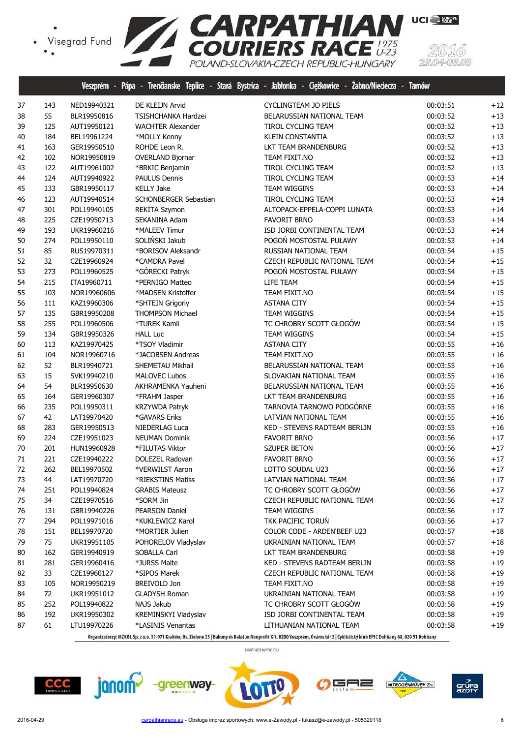

|    |     |             |                            | veszprem - Papa - frendanske leplice - Stara Bystrica - Jabionka - Clężkowice - Zabno/Niedecza - farnow |                   |  |
|----|-----|-------------|----------------------------|---------------------------------------------------------------------------------------------------------|-------------------|--|
| 37 | 143 | NED19940321 | DE KLEIJN Arvid            | CYCLINGTEAM JO PIELS                                                                                    | 00:03:51<br>$+12$ |  |
| 38 | 55  | BLR19950816 | <b>TSISHCHANKA Hardzei</b> | BELARUSSIAN NATIONAL TEAM                                                                               | 00:03:52<br>$+13$ |  |
| 39 | 125 | AUT19950121 | <b>WACHTER Alexander</b>   | TIROL CYCLING TEAM                                                                                      | $+13$<br>00:03:52 |  |
| 40 | 184 | BEL19961224 | *MOLLY Kenny               | KLEIN CONSTANTIA                                                                                        | $+13$<br>00:03:52 |  |
| 41 | 163 | GER19950510 | ROHDE Leon R.              | LKT TEAM BRANDENBURG                                                                                    | $+13$<br>00:03:52 |  |
| 42 | 102 | NOR19950819 | <b>OVERLAND Bjornar</b>    | TEAM FIXIT.NO                                                                                           | $+13$<br>00:03:52 |  |
| 43 | 122 | AUT19961002 | *BRKIC Benjamin            | TIROL CYCLING TEAM                                                                                      | $+13$<br>00:03:52 |  |
| 44 | 124 | AUT19940922 | PAULUS Dennis              | <b>TIROL CYCLING TEAM</b>                                                                               | $+14$<br>00:03:53 |  |
| 45 | 133 | GBR19950117 | <b>KELLY Jake</b>          | <b>TEAM WIGGINS</b>                                                                                     | $+14$<br>00:03:53 |  |
| 46 | 123 | AUT19940514 | SCHONBERGER Sebastian      | TIROL CYCLING TEAM                                                                                      | $+14$<br>00:03:53 |  |
| 47 | 301 | POL19940105 | REKITA Szymon              | ALTOPACK-EPPELA-COPPI LUNATA                                                                            | $+14$<br>00:03:53 |  |
| 48 | 225 | CZE19950713 | SEKANINA Adam              | <b>FAVORIT BRNO</b>                                                                                     | 00:03:53<br>$+14$ |  |
| 49 | 193 | UKR19960216 | *MALEEV Timur              | ISD JORBI CONTINENTAL TEAM                                                                              | $+14$<br>00:03:53 |  |
| 50 | 274 | POL19950110 | SOLIŃSKI Jakub             | POGOŃ MOSTOSTAL PUŁAWY                                                                                  | $+14$<br>00:03:53 |  |
| 51 | 85  | RUS19970311 | *BORISOV Aleksandr         | RUSSIAN NATIONAL TEAM                                                                                   | $+15$<br>00:03:54 |  |
| 52 | 32  | CZE19960924 | *CAMDRA Pavel              | CZECH REPUBLIC NATIONAL TEAM                                                                            | $+15$<br>00:03:54 |  |
| 53 | 273 | POL19960525 | *GÓRECKI Patryk            | POGOŃ MOSTOSTAL PUŁAWY                                                                                  | $+15$<br>00:03:54 |  |
| 54 | 215 | ITA19960711 | *PERNIGO Matteo            | LIFE TEAM                                                                                               | $+15$<br>00:03:54 |  |
| 55 | 103 | NOR19960606 | *MADSEN Kristoffer         | TEAM FIXIT.NO                                                                                           | $+15$<br>00:03:54 |  |
| 56 | 111 | KAZ19960306 | *SHTEIN Grigoriy           | <b>ASTANA CITY</b>                                                                                      | $+15$<br>00:03:54 |  |
| 57 | 135 | GBR19950208 | <b>THOMPSON Michael</b>    | TEAM WIGGINS                                                                                            | $+15$<br>00:03:54 |  |
| 58 | 255 | POL19960506 | *TUREK Kamil               | TC CHROBRY SCOTT GŁOGÓW                                                                                 | 00:03:54<br>$+15$ |  |
| 59 | 134 | GBR19950326 | <b>HALL Luc</b>            | <b>TEAM WIGGINS</b>                                                                                     | 00:03:54<br>$+15$ |  |
| 60 | 113 | KAZ19970425 | *TSOY Vladimir             | <b>ASTANA CITY</b>                                                                                      | $+16$<br>00:03:55 |  |
| 61 | 104 | NOR19960716 | *JACOBSEN Andreas          | TEAM FIXIT.NO                                                                                           | $+16$<br>00:03:55 |  |
| 62 | 52  | BLR19940721 | SHEMETAU Mikhail           | BELARUSSIAN NATIONAL TEAM                                                                               | $+16$<br>00:03:55 |  |
| 63 | 15  | SVK19940210 | <b>MALOVEC Lubos</b>       | SLOVAKIAN NATIONAL TEAM                                                                                 | $+16$<br>00:03:55 |  |
| 64 | 54  | BLR19950630 | AKHRAMENKA Yauheni         | BELARUSSIAN NATIONAL TEAM                                                                               | $+16$<br>00:03:55 |  |
| 65 | 164 | GER19960307 | *FRAHM Jasper              | LKT TEAM BRANDENBURG                                                                                    | $+16$<br>00:03:55 |  |
| 66 | 235 | POL19950311 | KRZYWDA Patryk             | TARNOVIA TARNOWO PODGÓRNE                                                                               | $+16$<br>00:03:55 |  |
| 67 | 42  | LAT19970420 | *GAVARS Eriks              | LATVIAN NATIONAL TEAM                                                                                   | $+16$<br>00:03:55 |  |
| 68 | 283 | GER19950513 | NIEDERLAG Luca             | KED - STEVENS RADTEAM BERLIN                                                                            | $+16$<br>00:03:55 |  |
| 69 | 224 | CZE19951023 | <b>NEUMAN Dominik</b>      | <b>FAVORIT BRNO</b>                                                                                     | $+17$<br>00:03:56 |  |
| 70 | 201 | HUN19960928 | *FILUTAS Viktor            | <b>SZUPER BETON</b>                                                                                     | $+17$<br>00:03:56 |  |
| 71 | 221 | CZE19940222 | DOLEZEL Radovan            | <b>FAVORIT BRNO</b>                                                                                     | $+17$<br>00:03:56 |  |
| 72 | 262 | BEL19970502 | *VERWILST Aaron            | LOTTO SOUDAL U23                                                                                        | $+17$<br>00:03:56 |  |
| 73 | 44  | LAT19970720 | *RIEKSTINS Matiss          | LATVIAN NATIONAL TEAM                                                                                   | $+17$<br>00:03:56 |  |
| 74 | 251 | POL19940824 | <b>GRABIS Mateusz</b>      | TC CHROBRY SCOTT GŁOGÓW                                                                                 | $+17$<br>00:03:56 |  |
| 75 | 34  | CZE19970516 | *SORM Jiri                 | CZECH REPUBLIC NATIONAL TEAM                                                                            | $+17$<br>00:03:56 |  |
| 76 | 131 | GBR19940226 | PEARSON Daniel             | TEAM WIGGINS                                                                                            | $+17$<br>00:03:56 |  |
| 77 | 294 | POL19971016 | *KUKLEWICZ Karol           | TKK PACIFIC TORUN                                                                                       | 00:03:56<br>$+17$ |  |
| 78 | 151 | BEL19970720 | *MORTIER Julien            | COLOR CODE - ARDEN'BEEF U23                                                                             | $+18$<br>00:03:57 |  |
| 79 | 75  | UKR19951105 | POHORELOV Vladyslav        | UKRAINIAN NATIONAL TEAM                                                                                 | $+18$<br>00:03:57 |  |
| 80 | 162 | GER19940919 | SOBALLA Carl               | LKT TEAM BRANDENBURG                                                                                    | $+19$<br>00:03:58 |  |
| 81 | 281 | GER19960416 | *JURSS Malte               | KED - STEVENS RADTEAM BERLIN                                                                            | 00:03:58<br>$+19$ |  |
| 82 | 33  | CZE19960127 | *SIPOS Marek               | CZECH REPUBLIC NATIONAL TEAM                                                                            | $+19$<br>00:03:58 |  |
| 83 | 105 | NOR19950219 | <b>BREIVOLD Jon</b>        | TEAM FIXIT.NO                                                                                           | 00:03:58<br>$+19$ |  |
| 84 | 72  | UKR19951012 | <b>GLADYSH Roman</b>       | UKRAINIAN NATIONAL TEAM                                                                                 | 00:03:58<br>$+19$ |  |
| 85 | 252 | POL19940822 | NAJS Jakub                 | TC CHROBRY SCOTT GŁOGÓW                                                                                 | 00:03:58<br>$+19$ |  |
| 86 | 192 | UKR19950302 | KREMINSKYI Vladyslav       | ISD JORBI CONTINENTAL TEAM                                                                              | 00:03:58<br>$+19$ |  |
| 87 | 61  | LTU19970226 | *LASINIS Venantas          | LITHUANIAN NATIONAL TEAM                                                                                | 00:03:58<br>$+19$ |  |









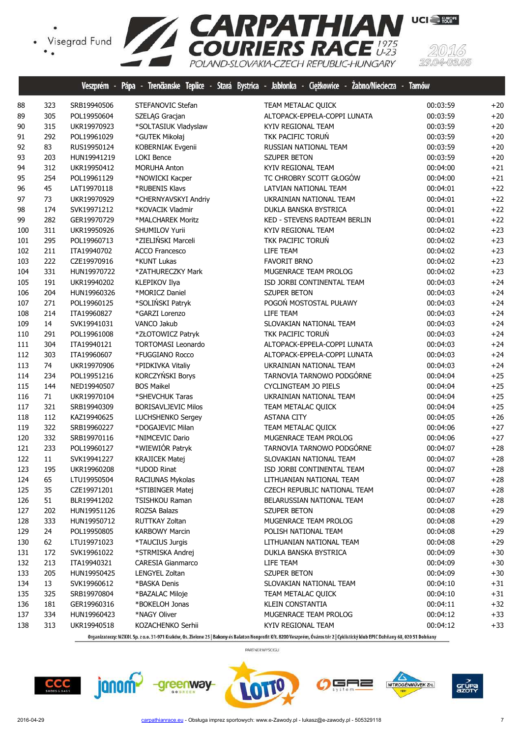

|     |     | Veszprém -  | Pápa                       | - Trenäanske Teplice - Stará Bystrica - Jabłonka - Ciężkowice - Zabno/Nieciecza - | lamow    |       |
|-----|-----|-------------|----------------------------|-----------------------------------------------------------------------------------|----------|-------|
| 88  | 323 | SRB19940506 | STEFANOVIC Stefan          | TEAM METALAC QUICK                                                                | 00:03:59 | $+20$ |
| 89  | 305 | POL19950604 | SZELĄG Gracjan             | ALTOPACK-EPPELA-COPPI LUNATA                                                      | 00:03:59 | $+20$ |
| 90  | 315 | UKR19970923 | *SOLTASIUK Vladyslaw       | KYIV REGIONAL TEAM                                                                | 00:03:59 | $+20$ |
| 91  | 292 | POL19961029 | *GUTEK Mikołaj             | TKK PACIFIC TORUŃ                                                                 | 00:03:59 | $+20$ |
| 92  | 83  | RUS19950124 | KOBERNIAK Evgenii          | RUSSIAN NATIONAL TEAM                                                             | 00:03:59 | $+20$ |
| 93  | 203 | HUN19941219 | <b>LOKI Bence</b>          | <b>SZUPER BETON</b>                                                               | 00:03:59 | $+20$ |
| 94  | 312 | UKR19950412 | <b>MORUHA Anton</b>        | KYIV REGIONAL TEAM                                                                | 00:04:00 | $+21$ |
| 95  | 254 | POL19961129 | *NOWICKI Kacper            | TC CHROBRY SCOTT GŁOGÓW                                                           | 00:04:00 | $+21$ |
| 96  | 45  | LAT19970118 | *RUBENIS Klavs             | LATVIAN NATIONAL TEAM                                                             | 00:04:01 | $+22$ |
| 97  | 73  | UKR19970929 | *CHERNYAVSKYI Andriy       | UKRAINIAN NATIONAL TEAM                                                           | 00:04:01 | $+22$ |
| 98  | 174 | SVK19971212 | *KOVACIK Vladmir           | DUKLA BANSKA BYSTRICA                                                             | 00:04:01 | $+22$ |
| 99  | 282 | GER19970729 | *MALCHAREK Moritz          | KED - STEVENS RADTEAM BERLIN                                                      | 00:04:01 | $+22$ |
| 100 | 311 | UKR19950926 | SHUMILOV Yurii             | KYIV REGIONAL TEAM                                                                | 00:04:02 | $+23$ |
| 101 | 295 | POL19960713 | *ZIELIŃSKI Marceli         | TKK PACIFIC TORUŃ                                                                 | 00:04:02 | $+23$ |
| 102 | 211 | ITA19940702 | <b>ACCO Francesco</b>      | LIFE TEAM                                                                         | 00:04:02 | $+23$ |
| 103 | 222 | CZE19970916 | *KUNT Lukas                | <b>FAVORIT BRNO</b>                                                               | 00:04:02 | $+23$ |
| 104 | 331 | HUN19970722 | *ZATHURECZKY Mark          | MUGENRACE TEAM PROLOG                                                             | 00:04:02 | $+23$ |
| 105 | 191 | UKR19940202 | KLEPIKOV Ilya              | ISD JORBI CONTINENTAL TEAM                                                        | 00:04:03 | $+24$ |
| 106 | 204 | HUN19960326 | *MORICZ Daniel             | SZUPER BETON                                                                      | 00:04:03 | $+24$ |
| 107 | 271 | POL19960125 | *SOLIŃSKI Patryk           | POGOŃ MOSTOSTAL PUŁAWY                                                            | 00:04:03 | $+24$ |
| 108 | 214 | ITA19960827 | *GARZI Lorenzo             | LIFE TEAM                                                                         | 00:04:03 | $+24$ |
| 109 | 14  | SVK19941031 | VANCO Jakub                | SLOVAKIAN NATIONAL TEAM                                                           | 00:04:03 | $+24$ |
| 110 | 291 | POL19961008 | *ZŁOTOWICZ Patryk          | TKK PACIFIC TORUŃ                                                                 | 00:04:03 | $+24$ |
| 111 | 304 | ITA19940121 | <b>TORTOMASI Leonardo</b>  | ALTOPACK-EPPELA-COPPI LUNATA                                                      | 00:04:03 | $+24$ |
| 112 | 303 | ITA19960607 | *FUGGIANO Rocco            | ALTOPACK-EPPELA-COPPI LUNATA                                                      | 00:04:03 | $+24$ |
| 113 | 74  | UKR19970906 | *PIDKIVKA Vitaliy          | UKRAINIAN NATIONAL TEAM                                                           | 00:04:03 | $+24$ |
| 114 | 234 | POL19951216 | KORCZYŃSKI Borys           | TARNOVIA TARNOWO PODGÓRNE                                                         | 00:04:04 | $+25$ |
| 115 | 144 | NED19940507 | <b>BOS Maikel</b>          | CYCLINGTEAM JO PIELS                                                              | 00:04:04 | $+25$ |
| 116 | 71  | UKR19970104 | *SHEVCHUK Taras            | UKRAINIAN NATIONAL TEAM                                                           | 00:04:04 | $+25$ |
| 117 | 321 | SRB19940309 | <b>BORISAVLJEVIC Milos</b> | TEAM METALAC QUICK                                                                | 00:04:04 | $+25$ |
| 118 | 112 | KAZ19940625 | LUCHSHENKO Sergey          | <b>ASTANA CITY</b>                                                                | 00:04:05 | $+26$ |
| 119 | 322 | SRB19960227 | *DOGAJEVIC Milan           | TEAM METALAC QUICK                                                                | 00:04:06 | $+27$ |
| 120 | 332 | SRB19970116 | *NIMCEVIC Dario            | MUGENRACE TEAM PROLOG                                                             | 00:04:06 | $+27$ |
| 121 | 233 | POL19960127 | *WIEWIÓR Patryk            | TARNOVIA TARNOWO PODGÓRNE                                                         | 00:04:07 | $+28$ |
| 122 | 11  | SVK19941227 | <b>KRAJICEK Matej</b>      | SLOVAKIAN NATIONAL TEAM                                                           | 00:04:07 | $+28$ |
| 123 | 195 | UKR19960208 | *UDOD Rinat                | ISD JORBI CONTINENTAL TEAM                                                        | 00:04:07 | $+28$ |
| 124 | 65  | LTU19950504 | RACIUNAS Mykolas           | LITHUANIAN NATIONAL TEAM                                                          | 00:04:07 | $+28$ |
| 125 | 35  | CZE19971201 | *STIBINGER Matej           | CZECH REPUBLIC NATIONAL TEAM                                                      | 00:04:07 | $+28$ |
| 126 | 51  | BLR19941202 | <b>TSISHKOU Raman</b>      | BELARUSSIAN NATIONAL TEAM                                                         | 00:04:07 | $+28$ |
| 127 | 202 | HUN19951126 | ROZSA Balazs               | SZUPER BETON                                                                      | 00:04:08 | $+29$ |
| 128 | 333 | HUN19950712 | RUTTKAY Zoltan             | MUGENRACE TEAM PROLOG                                                             | 00:04:08 | $+29$ |
| 129 | 24  | POL19950805 | <b>KARBOWY Marcin</b>      | POLISH NATIONAL TEAM                                                              | 00:04:08 | $+29$ |
| 130 | 62  | LTU19971023 | *TAUCIUS Jurgis            | LITHUANIAN NATIONAL TEAM                                                          | 00:04:08 | $+29$ |
| 131 | 172 | SVK19961022 | *STRMISKA Andrej           | DUKLA BANSKA BYSTRICA                                                             | 00:04:09 | $+30$ |
| 132 | 213 | ITA19940321 | <b>CARESIA Gianmarco</b>   | LIFE TEAM                                                                         | 00:04:09 | $+30$ |
| 133 | 205 | HUN19950425 | LENGYEL Zoltan             | <b>SZUPER BETON</b>                                                               | 00:04:09 | $+30$ |
| 134 | 13  | SVK19960612 | *BASKA Denis               | SLOVAKIAN NATIONAL TEAM                                                           | 00:04:10 | $+31$ |
| 135 | 325 | SRB19970804 | *BAZALAC Miloje            | TEAM METALAC QUICK                                                                | 00:04:10 | $+31$ |
| 136 | 181 | GER19960316 | *BOKELOH Jonas             | <b>KLEIN CONSTANTIA</b>                                                           | 00:04:11 | $+32$ |
| 137 | 334 | HUN19960423 | *NAGY Oliver               | MUGENRACE TEAM PROLOG                                                             | 00:04:12 | $+33$ |
| 138 | 313 | UKR19940518 | KOZACHENKO Serhii          | KYIV REGIONAL TEAM                                                                | 00:04:12 | $+33$ |









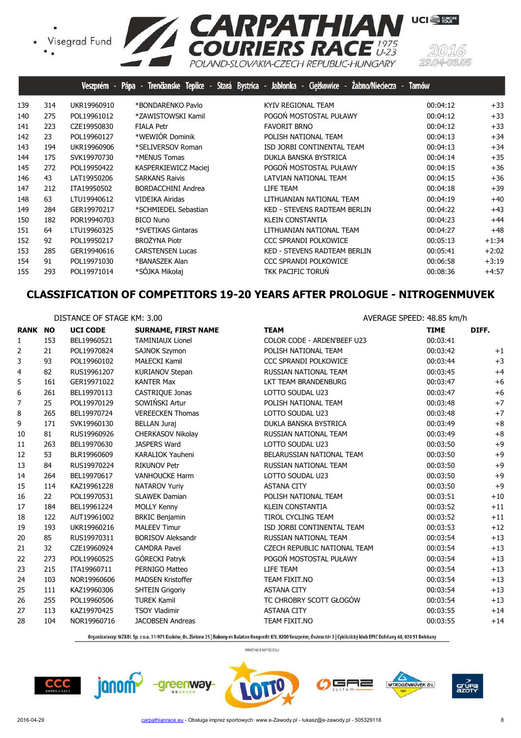• Visegrad Fund<br>• •



|     | Veszprém -  | Pápa - Trenčianske Teplice - | Ciężkowice - | <b>Tamów</b>                                                                                                                                                                                                                                                                                                                                                                                                                                                                       |                   |
|-----|-------------|------------------------------|--------------|------------------------------------------------------------------------------------------------------------------------------------------------------------------------------------------------------------------------------------------------------------------------------------------------------------------------------------------------------------------------------------------------------------------------------------------------------------------------------------|-------------------|
| 314 | UKR19960910 | *BONDARENKO Pavlo            |              | 00:04:12                                                                                                                                                                                                                                                                                                                                                                                                                                                                           | $+33$             |
| 275 | POL19961012 | *ZAWISTOWSKI Kamil           |              | 00:04:12                                                                                                                                                                                                                                                                                                                                                                                                                                                                           | $+33$             |
| 223 | CZE19950830 | <b>FIALA Petr</b>            |              | 00:04:12                                                                                                                                                                                                                                                                                                                                                                                                                                                                           | $+33$             |
| 23  | POL19960127 | *WEWIÓR Dominik              |              | 00:04:13                                                                                                                                                                                                                                                                                                                                                                                                                                                                           | $+34$             |
| 194 | UKR19960906 | *SELIVERSOV Roman            |              | 00:04:13                                                                                                                                                                                                                                                                                                                                                                                                                                                                           | $+34$             |
| 175 | SVK19970730 | *MENUS Tomas                 |              | 00:04:14                                                                                                                                                                                                                                                                                                                                                                                                                                                                           | $+35$             |
| 272 | POL19950422 | KASPERKIEWICZ Maciej         |              | 00:04:15                                                                                                                                                                                                                                                                                                                                                                                                                                                                           | $+36$             |
| 43  | LAT19950206 | <b>SARKANS Raivis</b>        |              | 00:04:15                                                                                                                                                                                                                                                                                                                                                                                                                                                                           | $+36$             |
| 212 | ITA19950502 | <b>BORDACCHINI Andrea</b>    |              | 00:04:18                                                                                                                                                                                                                                                                                                                                                                                                                                                                           | $+39$             |
| 63  | LTU19940612 | VIDEIKA Airidas              |              | 00:04:19                                                                                                                                                                                                                                                                                                                                                                                                                                                                           | $+40$             |
| 284 | GER19970217 | *SCHMIEDEL Sebastian         |              | 00:04:22                                                                                                                                                                                                                                                                                                                                                                                                                                                                           | $+43$             |
| 182 | POR19940703 | <b>BICO Nuno</b>             |              | 00:04:23                                                                                                                                                                                                                                                                                                                                                                                                                                                                           | $+44$             |
| 64  | LTU19960325 | *SVETIKAS Gintaras           |              | 00:04:27                                                                                                                                                                                                                                                                                                                                                                                                                                                                           | $+48$             |
| 92  | POL19950217 | <b>BROŻYNA Piotr</b>         |              | 00:05:13                                                                                                                                                                                                                                                                                                                                                                                                                                                                           | $+1:34$           |
| 285 | GER19940616 | <b>CARSTENSEN Lucas</b>      |              | 00:05:41                                                                                                                                                                                                                                                                                                                                                                                                                                                                           | $+2:02$           |
| 91  | POL19971030 | *BANASZEK Alan               |              | 00:06:58                                                                                                                                                                                                                                                                                                                                                                                                                                                                           | $+3:19$           |
| 293 | POL19971014 | *SÓJKA Mikołaj               |              | 00:08:36                                                                                                                                                                                                                                                                                                                                                                                                                                                                           | $+4:57$           |
|     |             |                              |              | Stará Bystrica - Jabłonka -<br>KYIV REGIONAL TEAM<br>POGOŃ MOSTOSTAL PUŁAWY<br><b>FAVORIT BRNO</b><br>POLISH NATIONAL TEAM<br>ISD JORBI CONTINENTAL TEAM<br>DUKLA BANSKA BYSTRICA<br>POGOŃ MOSTOSTAL PUŁAWY<br>LATVIAN NATIONAL TEAM<br>LIFE TEAM<br>LITHUANIAN NATIONAL TEAM<br>KED - STEVENS RADTEAM BERLIN<br><b>KLEIN CONSTANTIA</b><br>LITHUANIAN NATIONAL TEAM<br>CCC SPRANDI POLKOWICE<br>KED - STEVENS RADTEAM BERLIN<br><b>CCC SPRANDI POLKOWICE</b><br>TKK PACIFIC TORUN | Zabno/Nieciecza - |

# **CLASSIFICATION OF COMPETITORS 19-20 YEARS AFTER PROLOGUE - NITROGENMUVEK**

|                | DISTANCE OF STAGE KM: 3.00 |                 |                            | AVERAGE SPEED: 48.85 km/h    |             |       |
|----------------|----------------------------|-----------------|----------------------------|------------------------------|-------------|-------|
| <b>RANK NO</b> |                            | <b>UCI CODE</b> | <b>SURNAME, FIRST NAME</b> | <b>TEAM</b>                  | <b>TIME</b> | DIFF. |
| 1              | 153                        | BEL19960521     | <b>TAMINIAUX Lionel</b>    | COLOR CODE - ARDEN'BEEF U23  | 00:03:41    |       |
| 2              | 21                         | POL19970824     | <b>SAJNOK Szymon</b>       | POLISH NATIONAL TEAM         | 00:03:42    | $+1$  |
| 3              | 93                         | POL19960102     | <b>MAŁECKI Kamil</b>       | <b>CCC SPRANDI POLKOWICE</b> | 00:03:44    | $+3$  |
| 4              | 82                         | RUS19961207     | <b>KURIANOV Stepan</b>     | RUSSIAN NATIONAL TEAM        | 00:03:45    | $+4$  |
| 5              | 161                        | GER19971022     | <b>KANTER Max</b>          | LKT TEAM BRANDENBURG         | 00:03:47    | $+6$  |
| 6              | 261                        | BEL19970113     | CASTRIQUE Jonas            | LOTTO SOUDAL U23             | 00:03:47    | $+6$  |
| 7              | 25                         | POL19970129     | SOWIŃSKI Artur             | POLISH NATIONAL TEAM         | 00:03:48    | $+7$  |
| 8              | 265                        | BEL19970724     | <b>VEREECKEN Thomas</b>    | LOTTO SOUDAL U23             | 00:03:48    | $+7$  |
| 9              | 171                        | SVK19960130     | <b>BELLAN Juraj</b>        | DUKLA BANSKA BYSTRICA        | 00:03:49    | $+8$  |
| 10             | 81                         | RUS19960926     | CHERKASOV Nikolay          | RUSSIAN NATIONAL TEAM        | 00:03:49    | $+8$  |
| 11             | 263                        | BEL19970630     | <b>JASPERS Ward</b>        | LOTTO SOUDAL U23             | 00:03:50    | $+9$  |
| 12             | 53                         | BLR19960609     | <b>KARALIOK Yauheni</b>    | BELARUSSIAN NATIONAL TEAM    | 00:03:50    | $+9$  |
| 13             | 84                         | RUS19970224     | <b>RIKUNOV Petr</b>        | RUSSIAN NATIONAL TEAM        | 00:03:50    | $+9$  |
| 14             | 264                        | BEL19970617     | <b>VANHOUCKE Harm</b>      | LOTTO SOUDAL U23             | 00:03:50    | $+9$  |
| 15             | 114                        | KAZ19961228     | <b>NATAROV Yuriy</b>       | <b>ASTANA CITY</b>           | 00:03:50    | $+9$  |
| 16             | 22                         | POL19970531     | <b>SLAWEK Damian</b>       | POLISH NATIONAL TEAM         | 00:03:51    | $+10$ |
| 17             | 184                        | BEL19961224     | MOLLY Kenny                | <b>KLEIN CONSTANTIA</b>      | 00:03:52    | $+11$ |
| 18             | 122                        | AUT19961002     | <b>BRKIC Benjamin</b>      | <b>TIROL CYCLING TEAM</b>    | 00:03:52    | $+11$ |
| 19             | 193                        | UKR19960216     | <b>MALEEV Timur</b>        | ISD JORBI CONTINENTAL TEAM   | 00:03:53    | $+12$ |
| 20             | 85                         | RUS19970311     | <b>BORISOV Aleksandr</b>   | RUSSIAN NATIONAL TEAM        | 00:03:54    | $+13$ |
| 21             | 32                         | CZE19960924     | <b>CAMDRA Pavel</b>        | CZECH REPUBLIC NATIONAL TEAM | 00:03:54    | $+13$ |
| 22             | 273                        | POL19960525     | GÓRECKI Patryk             | POGOŃ MOSTOSTAL PUŁAWY       | 00:03:54    | $+13$ |
| 23             | 215                        | ITA19960711     | PERNIGO Matteo             | LIFE TEAM                    | 00:03:54    | $+13$ |
| 24             | 103                        | NOR19960606     | <b>MADSEN Kristoffer</b>   | TEAM FIXIT.NO                | 00:03:54    | $+13$ |
| 25             | 111                        | KAZ19960306     | <b>SHTEIN Grigoriy</b>     | <b>ASTANA CITY</b>           | 00:03:54    | $+13$ |
| 26             | 255                        | POL19960506     | <b>TUREK Kamil</b>         | TC CHROBRY SCOTT GŁOGÓW      | 00:03:54    | $+13$ |
| 27             | 113                        | KAZ19970425     | <b>TSOY Vladimir</b>       | <b>ASTANA CITY</b>           | 00:03:55    | $+14$ |
| 28             | 104                        | NOR19960716     | <b>JACOBSEN Andreas</b>    | TEAM FIXIT.NO                | 00:03:55    | $+14$ |

Organizatorzy: MZKOL Sp. z o.o. 31-971 Kraków, Os. Zielone 25 | Bakony és Balaton Nonprofit Kft. 8200 Veszprém, Óváros tér 2 | Cyklistický klub EPIC Dohňany 68, 020 51 Dohňany







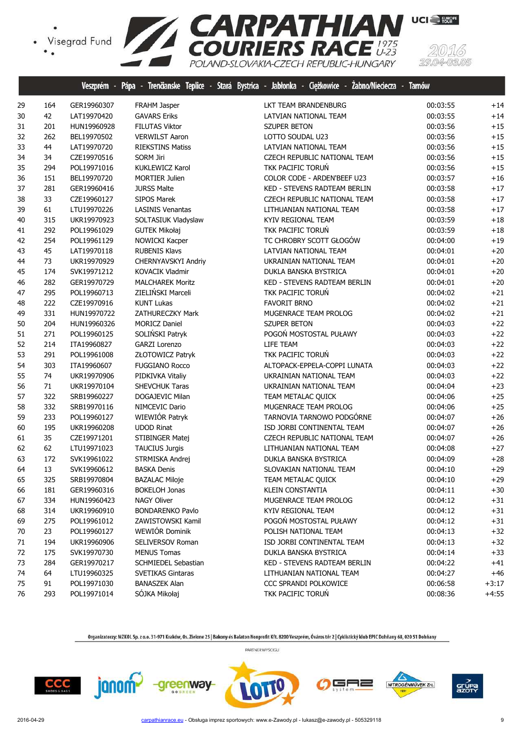

|    |     | Veszprem - Pápa |                            | - Trendanske Teplice - Stara Bystrica - Jabłonka - Cięzkowice - Zabno/Niedecza - Tarnow |          |         |
|----|-----|-----------------|----------------------------|-----------------------------------------------------------------------------------------|----------|---------|
| 29 | 164 | GER19960307     | FRAHM Jasper               | LKT TEAM BRANDENBURG                                                                    | 00:03:55 | $+14$   |
| 30 | 42  | LAT19970420     | <b>GAVARS Eriks</b>        | LATVIAN NATIONAL TEAM                                                                   | 00:03:55 | $+14$   |
| 31 | 201 | HUN19960928     | <b>FILUTAS Viktor</b>      | <b>SZUPER BETON</b>                                                                     | 00:03:56 | $+15$   |
| 32 | 262 | BEL19970502     | <b>VERWILST Aaron</b>      | LOTTO SOUDAL U23                                                                        | 00:03:56 | $+15$   |
| 33 | 44  | LAT19970720     | <b>RIEKSTINS Matiss</b>    | LATVIAN NATIONAL TEAM                                                                   | 00:03:56 | $+15$   |
| 34 | 34  | CZE19970516     | <b>SORM Jiri</b>           | CZECH REPUBLIC NATIONAL TEAM                                                            | 00:03:56 | $+15$   |
| 35 | 294 | POL19971016     | <b>KUKLEWICZ Karol</b>     | TKK PACIFIC TORUŃ                                                                       | 00:03:56 | $+15$   |
| 36 | 151 | BEL19970720     | <b>MORTIER Julien</b>      | COLOR CODE - ARDEN'BEEF U23                                                             | 00:03:57 | $+16$   |
| 37 | 281 | GER19960416     | <b>JURSS Malte</b>         | KED - STEVENS RADTEAM BERLIN                                                            | 00:03:58 | $+17$   |
| 38 | 33  | CZE19960127     | SIPOS Marek                | CZECH REPUBLIC NATIONAL TEAM                                                            | 00:03:58 | $+17$   |
| 39 | 61  | LTU19970226     | <b>LASINIS Venantas</b>    | LITHUANIAN NATIONAL TEAM                                                                | 00:03:58 | $+17$   |
| 40 | 315 | UKR19970923     | SOLTASIUK Vladyslaw        | KYIV REGIONAL TEAM                                                                      | 00:03:59 | $+18$   |
| 41 | 292 | POL19961029     | <b>GUTEK Mikołaj</b>       | TKK PACIFIC TORUŃ                                                                       | 00:03:59 | $+18$   |
| 42 | 254 | POL19961129     | NOWICKI Kacper             | TC CHROBRY SCOTT GŁOGÓW                                                                 | 00:04:00 | $+19$   |
| 43 | 45  | LAT19970118     | <b>RUBENIS Klavs</b>       | LATVIAN NATIONAL TEAM                                                                   | 00:04:01 | $+20$   |
| 44 | 73  | UKR19970929     | CHERNYAVSKYI Andriy        | UKRAINIAN NATIONAL TEAM                                                                 | 00:04:01 | $+20$   |
| 45 | 174 | SVK19971212     | <b>KOVACIK Vladmir</b>     | DUKLA BANSKA BYSTRICA                                                                   | 00:04:01 | $+20$   |
| 46 | 282 | GER19970729     | <b>MALCHAREK Moritz</b>    | KED - STEVENS RADTEAM BERLIN                                                            | 00:04:01 | $+20$   |
| 47 | 295 | POL19960713     | ZIELIŃSKI Marceli          | TKK PACIFIC TORUŃ                                                                       | 00:04:02 | $+21$   |
| 48 | 222 | CZE19970916     | <b>KUNT Lukas</b>          | <b>FAVORIT BRNO</b>                                                                     | 00:04:02 | $+21$   |
| 49 | 331 | HUN19970722     | ZATHURECZKY Mark           | MUGENRACE TEAM PROLOG                                                                   | 00:04:02 | $+21$   |
| 50 | 204 | HUN19960326     | <b>MORICZ Daniel</b>       | <b>SZUPER BETON</b>                                                                     | 00:04:03 | $+22$   |
| 51 | 271 | POL19960125     | SOLIŃSKI Patryk            | POGOŃ MOSTOSTAL PUŁAWY                                                                  | 00:04:03 | $+22$   |
| 52 | 214 | ITA19960827     | GARZI Lorenzo              | LIFE TEAM                                                                               | 00:04:03 | $+22$   |
| 53 | 291 | POL19961008     | ZŁOTOWICZ Patryk           | TKK PACIFIC TORUŃ                                                                       | 00:04:03 | $+22$   |
| 54 | 303 | ITA19960607     | <b>FUGGIANO Rocco</b>      | ALTOPACK-EPPELA-COPPI LUNATA                                                            | 00:04:03 | $+22$   |
| 55 | 74  | UKR19970906     | PIDKIVKA Vitaliy           | UKRAINIAN NATIONAL TEAM                                                                 | 00:04:03 | $+22$   |
| 56 | 71  | UKR19970104     | <b>SHEVCHUK Taras</b>      | UKRAINIAN NATIONAL TEAM                                                                 | 00:04:04 | $+23$   |
| 57 | 322 | SRB19960227     | DOGAJEVIC Milan            | TEAM METALAC QUICK                                                                      | 00:04:06 | $+25$   |
| 58 | 332 | SRB19970116     | NIMCEVIC Dario             | MUGENRACE TEAM PROLOG                                                                   | 00:04:06 | $+25$   |
| 59 | 233 | POL19960127     | WIEWIÓR Patryk             | TARNOVIA TARNOWO PODGÓRNE                                                               | 00:04:07 | $+26$   |
| 60 | 195 | UKR19960208     | <b>UDOD Rinat</b>          | ISD JORBI CONTINENTAL TEAM                                                              | 00:04:07 | $+26$   |
| 61 | 35  | CZE19971201     | STIBINGER Matej            | CZECH REPUBLIC NATIONAL TEAM                                                            | 00:04:07 | $+26$   |
| 62 | 62  | LTU19971023     | <b>TAUCIUS Jurgis</b>      | LITHUANIAN NATIONAL TEAM                                                                | 00:04:08 | $+27$   |
| 63 | 172 | SVK19961022     | STRMISKA Andrej            | DUKLA BANSKA BYSTRICA                                                                   | 00:04:09 | $+28$   |
| 64 | 13  | SVK19960612     | <b>BASKA Denis</b>         | SLOVAKIAN NATIONAL TEAM                                                                 | 00:04:10 | $+29$   |
| 65 | 325 | SRB19970804     | <b>BAZALAC Miloje</b>      | TEAM METALAC QUICK                                                                      | 00:04:10 | $+29$   |
| 66 | 181 | GER19960316     | <b>BOKELOH Jonas</b>       | <b>KLEIN CONSTANTIA</b>                                                                 | 00:04:11 | $+30$   |
| 67 | 334 | HUN19960423     | <b>NAGY Oliver</b>         | MUGENRACE TEAM PROLOG                                                                   | 00:04:12 | $+31$   |
| 68 | 314 | UKR19960910     | <b>BONDARENKO Pavlo</b>    | KYIV REGIONAL TEAM                                                                      | 00:04:12 | $+31$   |
| 69 | 275 | POL19961012     | ZAWISTOWSKI Kamil          | POGOŃ MOSTOSTAL PUŁAWY                                                                  | 00:04:12 | $+31$   |
| 70 | 23  | POL19960127     | WEWIÓR Dominik             | POLISH NATIONAL TEAM                                                                    | 00:04:13 | $+32$   |
| 71 | 194 | UKR19960906     | SELIVERSOV Roman           | ISD JORBI CONTINENTAL TEAM                                                              | 00:04:13 | $+32$   |
| 72 | 175 | SVK19970730     | <b>MENUS Tomas</b>         | DUKLA BANSKA BYSTRICA                                                                   | 00:04:14 | $+33$   |
| 73 | 284 | GER19970217     | <b>SCHMIEDEL Sebastian</b> | KED - STEVENS RADTEAM BERLIN                                                            | 00:04:22 | $+41$   |
| 74 | 64  | LTU19960325     | <b>SVETIKAS Gintaras</b>   | LITHUANIAN NATIONAL TEAM                                                                | 00:04:27 | $+46$   |
| 75 | 91  | POL19971030     | <b>BANASZEK Alan</b>       | CCC SPRANDI POLKOWICE                                                                   | 00:06:58 | $+3:17$ |
| 76 | 293 | POL19971014     | SÓJKA Mikołaj              | TKK PACIFIC TORUŃ                                                                       | 00:08:36 | $+4:55$ |

 $CCC$ 







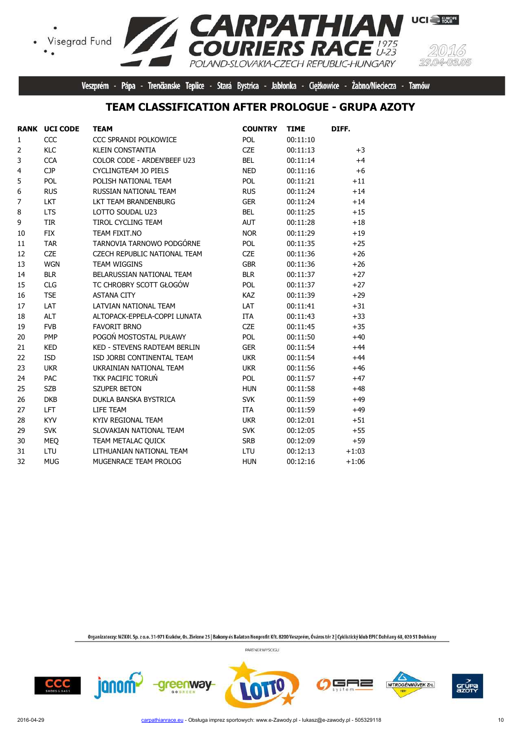Visegrad Fund  $\bullet$ 



**UCI** EUROPE

Veszprém - Pápa - Trenčianske Teplice - Stará Bystrica - Jabłonka - Ciężkowice - Żabno/Nieciecza - Tarnów

POLAND-SLOVAKIA-CZECH REPUBLIC-HUNGARY

**RPATHIAN**<br>JRIERS RACE

### **TEAM CLASSIFICATION AFTER PROLOGUE - GRUPA AZOTY**

|                | <b>RANK UCI CODE</b> | <b>TEAM</b>                         | <b>COUNTRY</b> | <b>TIME</b> | DIFF.   |
|----------------|----------------------|-------------------------------------|----------------|-------------|---------|
| 1              | CCC                  | CCC SPRANDI POLKOWICE               | POL            | 00:11:10    |         |
| $\overline{2}$ | KLC                  | <b>KLEIN CONSTANTIA</b>             | <b>CZE</b>     | 00:11:13    | $+3$    |
| 3              | <b>CCA</b>           | COLOR CODE - ARDEN'BEEF U23         | <b>BEL</b>     | 00:11:14    | $+4$    |
| 4              | <b>CJP</b>           | <b>CYCLINGTEAM JO PIELS</b>         | <b>NED</b>     | 00:11:16    | $+6$    |
| 5              | POL                  | POLISH NATIONAL TEAM                | <b>POL</b>     | 00:11:21    | $+11$   |
| 6              | <b>RUS</b>           | RUSSIAN NATIONAL TEAM               | <b>RUS</b>     | 00:11:24    | $+14$   |
| $\overline{7}$ | <b>LKT</b>           | LKT TEAM BRANDENBURG                | <b>GER</b>     | 00:11:24    | $+14$   |
| 8              | <b>LTS</b>           | LOTTO SOUDAL U23                    | <b>BEL</b>     | 00:11:25    | $+15$   |
| 9              | TIR                  | <b>TIROL CYCLING TEAM</b>           | AUT            | 00:11:28    | $+18$   |
| 10             | <b>FIX</b>           | TEAM FIXIT.NO                       | <b>NOR</b>     | 00:11:29    | $+19$   |
| 11             | <b>TAR</b>           | TARNOVIA TARNOWO PODGÓRNE           | POL            | 00:11:35    | $+25$   |
| 12             | <b>CZE</b>           | CZECH REPUBLIC NATIONAL TEAM        | <b>CZE</b>     | 00:11:36    | $+26$   |
| 13             | <b>WGN</b>           | <b>TEAM WIGGINS</b>                 | <b>GBR</b>     | 00:11:36    | $+26$   |
| 14             | <b>BLR</b>           | BELARUSSIAN NATIONAL TEAM           | <b>BLR</b>     | 00:11:37    | $+27$   |
| 15             | <b>CLG</b>           | TC CHROBRY SCOTT GŁOGÓW             | POL            | 00:11:37    | $+27$   |
| 16             | <b>TSE</b>           | <b>ASTANA CITY</b>                  | <b>KAZ</b>     | 00:11:39    | $+29$   |
| 17             | LAT                  | LATVIAN NATIONAL TEAM               | LAT            | 00:11:41    | $+31$   |
| 18             | <b>ALT</b>           | ALTOPACK-EPPELA-COPPI LUNATA        | <b>ITA</b>     | 00:11:43    | $+33$   |
| 19             | <b>FVB</b>           | <b>FAVORIT BRNO</b>                 | <b>CZE</b>     | 00:11:45    | $+35$   |
| 20             | <b>PMP</b>           | POGOŃ MOSTOSTAL PUŁAWY              | POL            | 00:11:50    | $+40$   |
| 21             | <b>KED</b>           | <b>KED - STEVENS RADTEAM BERLIN</b> | <b>GER</b>     | 00:11:54    | $+44$   |
| 22             | <b>ISD</b>           | ISD JORBI CONTINENTAL TEAM          | <b>UKR</b>     | 00:11:54    | $+44$   |
| 23             | <b>UKR</b>           | UKRAINIAN NATIONAL TEAM             | <b>UKR</b>     | 00:11:56    | $+46$   |
| 24             | PAC                  | TKK PACIFIC TORUŃ                   | POL            | 00:11:57    | $+47$   |
| 25             | <b>SZB</b>           | <b>SZUPER BETON</b>                 | <b>HUN</b>     | 00:11:58    | $+48$   |
| 26             | <b>DKB</b>           | DUKLA BANSKA BYSTRICA               | <b>SVK</b>     | 00:11:59    | $+49$   |
| 27             | <b>LFT</b>           | LIFE TEAM                           | ITA            | 00:11:59    | $+49$   |
| 28             | <b>KYV</b>           | <b>KYIV REGIONAL TEAM</b>           | <b>UKR</b>     | 00:12:01    | $+51$   |
| 29             | <b>SVK</b>           | SLOVAKIAN NATIONAL TEAM             | <b>SVK</b>     | 00:12:05    | $+55$   |
| 30             | <b>MEQ</b>           | TEAM METALAC QUICK                  | <b>SRB</b>     | 00:12:09    | $+59$   |
| 31             | LTU                  | LITHUANIAN NATIONAL TEAM            | LTU            | 00:12:13    | $+1:03$ |
| 32             | <b>MUG</b>           | MUGENRACE TEAM PROLOG               | <b>HUN</b>     | 00:12:16    | $+1:06$ |

**TCA** 

Organizatorzy: MZKOL Sp. z o.o. 31-971 Kraków, Os. Zielone 25 | Bakony és Balaton Nonprofit Kft. 8200 Veszprém, Óváros tér 2 | Cyklistický klub EPIC Dohňany 68, 020 51 Dohňany

PARTNER WYŚCIGU



janom<sup>2</sup>